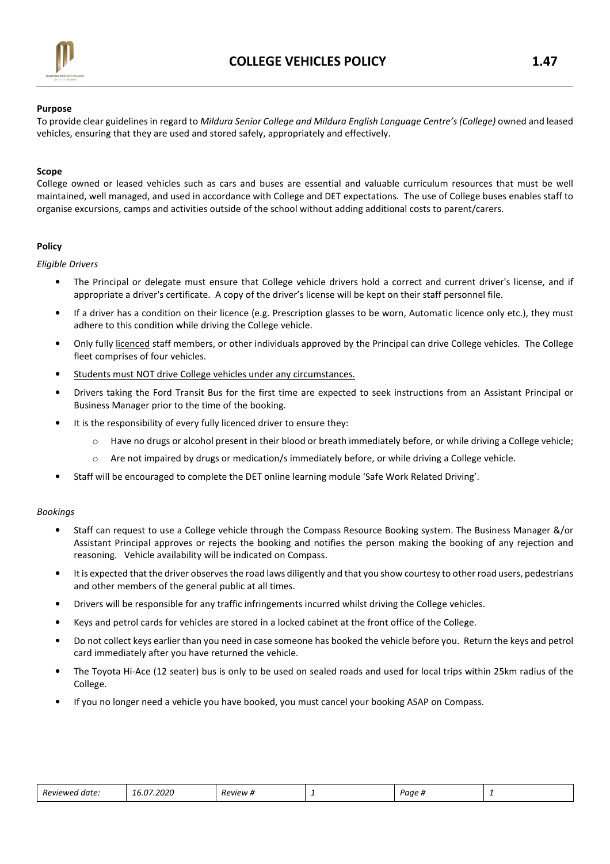

#### Purpose

To provide clear guidelines in regard to Mildura Senior College and Mildura English Language Centre's (College) owned and leased vehicles, ensuring that they are used and stored safely, appropriately and effectively.

#### Scope

College owned or leased vehicles such as cars and buses are essential and valuable curriculum resources that must be well maintained, well managed, and used in accordance with College and DET expectations. The use of College buses enables staff to organise excursions, camps and activities outside of the school without adding additional costs to parent/carers.

## **Policy**

Eligible Drivers

- The Principal or delegate must ensure that College vehicle drivers hold a correct and current driver's license, and if appropriate a driver's certificate. A copy of the driver's license will be kept on their staff personnel file.
- If a driver has a condition on their licence (e.g. Prescription glasses to be worn, Automatic licence only etc.), they must adhere to this condition while driving the College vehicle.
- Only fully licenced staff members, or other individuals approved by the Principal can drive College vehicles. The College fleet comprises of four vehicles.
- Students must NOT drive College vehicles under any circumstances.
- Drivers taking the Ford Transit Bus for the first time are expected to seek instructions from an Assistant Principal or Business Manager prior to the time of the booking.
- It is the responsibility of every fully licenced driver to ensure they:
	- $\circ$  Have no drugs or alcohol present in their blood or breath immediately before, or while driving a College vehicle;
	- $\circ$  Are not impaired by drugs or medication/s immediately before, or while driving a College vehicle.
- Staff will be encouraged to complete the DET online learning module 'Safe Work Related Driving'.

#### Bookings

- Staff can request to use a College vehicle through the Compass Resource Booking system. The Business Manager &/or Assistant Principal approves or rejects the booking and notifies the person making the booking of any rejection and reasoning. Vehicle availability will be indicated on Compass.
- It is expected that the driver observes the road laws diligently and that you show courtesy to other road users, pedestrians and other members of the general public at all times.
- Drivers will be responsible for any traffic infringements incurred whilst driving the College vehicles.
- Keys and petrol cards for vehicles are stored in a locked cabinet at the front office of the College.
- Do not collect keys earlier than you need in case someone has booked the vehicle before you. Return the keys and petrol card immediately after you have returned the vehicle.
- The Toyota Hi-Ace (12 seater) bus is only to be used on sealed roads and used for local trips within 25km radius of the College.
- If you no longer need a vehicle you have booked, you must cancel your booking ASAP on Compass.

| Reviewed date: | 16.07.2020 | <i>Review</i> # | - | Paae |  |
|----------------|------------|-----------------|---|------|--|
|----------------|------------|-----------------|---|------|--|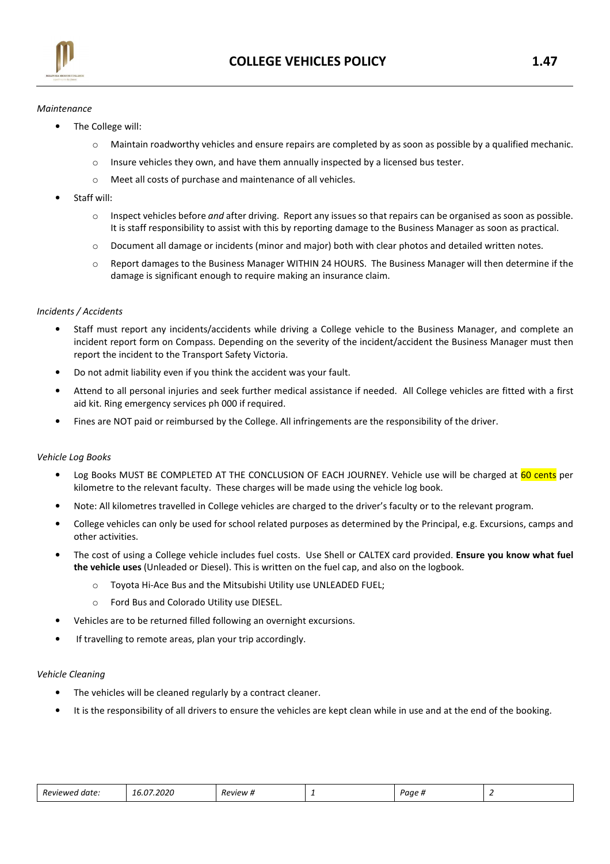

## Maintenance

- The College will:
	- $\circ$  Maintain roadworthy vehicles and ensure repairs are completed by as soon as possible by a qualified mechanic.
	- o Insure vehicles they own, and have them annually inspected by a licensed bus tester.
	- o Meet all costs of purchase and maintenance of all vehicles.
- Staff will:
	- $\circ$  Inspect vehicles before and after driving. Report any issues so that repairs can be organised as soon as possible. It is staff responsibility to assist with this by reporting damage to the Business Manager as soon as practical.
	- o Document all damage or incidents (minor and major) both with clear photos and detailed written notes.
	- o Report damages to the Business Manager WITHIN 24 HOURS. The Business Manager will then determine if the damage is significant enough to require making an insurance claim.

# Incidents / Accidents

- Staff must report any incidents/accidents while driving a College vehicle to the Business Manager, and complete an incident report form on Compass. Depending on the severity of the incident/accident the Business Manager must then report the incident to the Transport Safety Victoria.
- Do not admit liability even if you think the accident was your fault.
- Attend to all personal injuries and seek further medical assistance if needed. All College vehicles are fitted with a first aid kit. Ring emergency services ph 000 if required.
- Fines are NOT paid or reimbursed by the College. All infringements are the responsibility of the driver.

## Vehicle Log Books

- Log Books MUST BE COMPLETED AT THE CONCLUSION OF EACH JOURNEY. Vehicle use will be charged at 60 cents per kilometre to the relevant faculty. These charges will be made using the vehicle log book.
- Note: All kilometres travelled in College vehicles are charged to the driver's faculty or to the relevant program.
- College vehicles can only be used for school related purposes as determined by the Principal, e.g. Excursions, camps and other activities.
- The cost of using a College vehicle includes fuel costs. Use Shell or CALTEX card provided. Ensure you know what fuel the vehicle uses (Unleaded or Diesel). This is written on the fuel cap, and also on the logbook.
	- o Toyota Hi-Ace Bus and the Mitsubishi Utility use UNLEADED FUEL;
	- o Ford Bus and Colorado Utility use DIESEL.
- Vehicles are to be returned filled following an overnight excursions.
- If travelling to remote areas, plan your trip accordingly.

## Vehicle Cleaning

- The vehicles will be cleaned regularly by a contract cleaner.
- It is the responsibility of all drivers to ensure the vehicles are kept clean while in use and at the end of the booking.

|  | . .<br>Reviewed<br>ı date: | 6.07.2020<br>.o.UZ | <i>Review</i> # | - | Page <sub>n</sub> |  |
|--|----------------------------|--------------------|-----------------|---|-------------------|--|
|--|----------------------------|--------------------|-----------------|---|-------------------|--|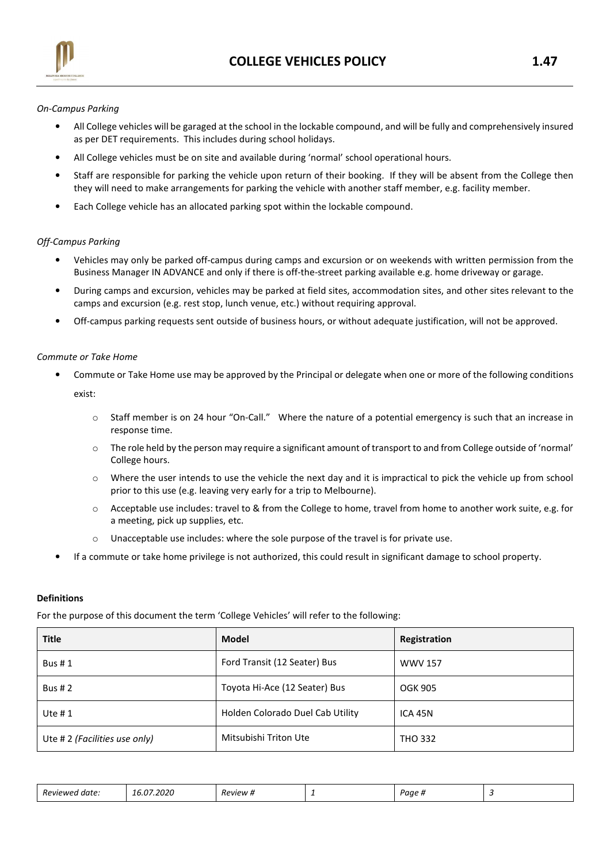

## On-Campus Parking

- All College vehicles will be garaged at the school in the lockable compound, and will be fully and comprehensively insured as per DET requirements. This includes during school holidays.
- All College vehicles must be on site and available during 'normal' school operational hours.
- Staff are responsible for parking the vehicle upon return of their booking. If they will be absent from the College then they will need to make arrangements for parking the vehicle with another staff member, e.g. facility member.
- Each College vehicle has an allocated parking spot within the lockable compound.

# Off-Campus Parking

- Vehicles may only be parked off-campus during camps and excursion or on weekends with written permission from the Business Manager IN ADVANCE and only if there is off-the-street parking available e.g. home driveway or garage.
- During camps and excursion, vehicles may be parked at field sites, accommodation sites, and other sites relevant to the camps and excursion (e.g. rest stop, lunch venue, etc.) without requiring approval.
- Off-campus parking requests sent outside of business hours, or without adequate justification, will not be approved.

## Commute or Take Home

- Commute or Take Home use may be approved by the Principal or delegate when one or more of the following conditions exist:
	- o Staff member is on 24 hour "On-Call." Where the nature of a potential emergency is such that an increase in response time.
	- $\circ$  The role held by the person may require a significant amount of transport to and from College outside of 'normal' College hours.
	- $\circ$  Where the user intends to use the vehicle the next day and it is impractical to pick the vehicle up from school prior to this use (e.g. leaving very early for a trip to Melbourne).
	- o Acceptable use includes: travel to & from the College to home, travel from home to another work suite, e.g. for a meeting, pick up supplies, etc.
	- $\circ$  Unacceptable use includes: where the sole purpose of the travel is for private use.
- If a commute or take home privilege is not authorized, this could result in significant damage to school property.

## Definitions

For the purpose of this document the term 'College Vehicles' will refer to the following:

| <b>Title</b>                  | Model                            | Registration   |  |
|-------------------------------|----------------------------------|----------------|--|
| <b>Bus #1</b>                 | Ford Transit (12 Seater) Bus     | <b>WWV 157</b> |  |
| <b>Bus #2</b>                 | Toyota Hi-Ace (12 Seater) Bus    | OGK 905        |  |
| Ute $# 1$                     | Holden Colorado Duel Cab Utility | ICA 45N        |  |
| Ute # 2 (Facilities use only) | Mitsubishi Triton Ute            | <b>THO 332</b> |  |

| Review<br>aate.<br>1 <i>816</i><br>. | 2020<br>____ | 'eview<br>_____ | - | Paae<br>,,, |  |
|--------------------------------------|--------------|-----------------|---|-------------|--|
|--------------------------------------|--------------|-----------------|---|-------------|--|